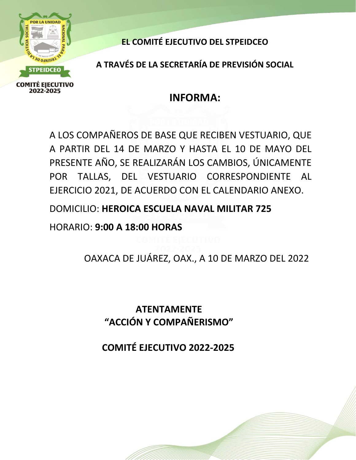

**EL COMITÉ EJECUTIVO DEL STPEIDCEO**

**A TRAVÉS DE LA SECRETARÍA DE PREVISIÓN SOCIAL**

## **INFORMA:**

A LOS COMPAÑEROS DE BASE QUE RECIBEN VESTUARIO, QUE A PARTIR DEL 14 DE MARZO Y HASTA EL 10 DE MAYO DEL PRESENTE AÑO, SE REALIZARÁN LOS CAMBIOS, ÚNICAMENTE POR TALLAS, DEL VESTUARIO CORRESPONDIENTE AL EJERCICIO 2021, DE ACUERDO CON EL CALENDARIO ANEXO.

DOMICILIO: **HEROICA ESCUELA NAVAL MILITAR 725**

HORARIO: **9:00 A 18:00 HORAS**

OAXACA DE JUÁREZ, OAX., A 10 DE MARZO DEL 2022

**ATENTAMENTE "ACCIÓN Y COMPAÑERISMO"**

**COMITÉ EJECUTIVO 2022‐2025**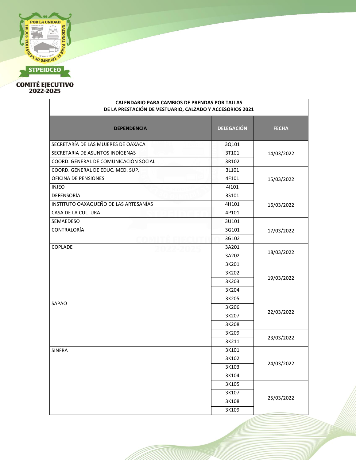

| <b>CALENDARIO PARA CAMBIOS DE PRENDAS POR TALLAS</b><br>DE LA PRESTACIÓN DE VESTUARIO, CALZADO Y ACCESORIOS 2021 |                   |              |  |
|------------------------------------------------------------------------------------------------------------------|-------------------|--------------|--|
| <b>DEPENDENCIA</b>                                                                                               | <b>DELEGACIÓN</b> | <b>FECHA</b> |  |
| SECRETARÍA DE LAS MUJERES DE OAXACA                                                                              | 3Q101             |              |  |
| SECRETARIA DE ASUNTOS INDÍGENAS                                                                                  | 3T101             | 14/03/2022   |  |
| COORD. GENERAL DE COMUNICACIÓN SOCIAL                                                                            | 3R102             |              |  |
| COORD. GENERAL DE EDUC. MED. SUP.                                                                                | 3L101             |              |  |
| OFICINA DE PENSIONES                                                                                             | 4F101             | 15/03/2022   |  |
| <b>INJEO</b>                                                                                                     | 41101             |              |  |
| DEFENSORÍA                                                                                                       | 3S101             |              |  |
| INSTITUTO OAXAQUEÑO DE LAS ARTESANÍAS                                                                            | 4H101             | 16/03/2022   |  |
| CASA DE LA CULTURA                                                                                               | 4P101             |              |  |
| SEMAEDESO                                                                                                        | 3U101             |              |  |
| CONTRALORÍA                                                                                                      | 3G101             | 17/03/2022   |  |
|                                                                                                                  | 3G102             |              |  |
| COPLADE                                                                                                          | 3A201             |              |  |
|                                                                                                                  | 3A202             | 18/03/2022   |  |
|                                                                                                                  | 3K201             | 19/03/2022   |  |
|                                                                                                                  | 3K202             |              |  |
|                                                                                                                  | 3K203             |              |  |
|                                                                                                                  | 3K204             |              |  |
|                                                                                                                  | 3K205             | 22/03/2022   |  |
| SAPAO                                                                                                            | 3K206             |              |  |
|                                                                                                                  | 3K207             |              |  |
|                                                                                                                  | 3K208             |              |  |
|                                                                                                                  | 3K209             |              |  |
|                                                                                                                  | 3K211             | 23/03/2022   |  |
| <b>SINFRA</b>                                                                                                    | 3K101             |              |  |
|                                                                                                                  | 3K102             | 24/03/2022   |  |
|                                                                                                                  | 3K103             |              |  |
|                                                                                                                  | 3K104             |              |  |
|                                                                                                                  | 3K105             |              |  |
|                                                                                                                  | 3K107             |              |  |
|                                                                                                                  | 3K108             | 25/03/2022   |  |
|                                                                                                                  | 3K109             |              |  |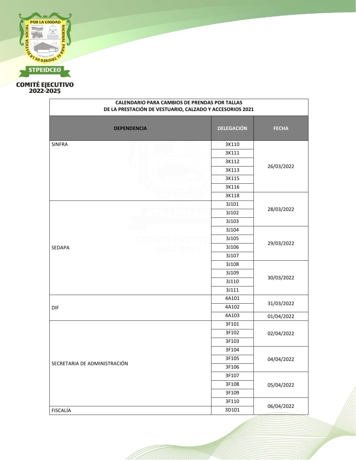

| <b>CALENDARIO PARA CAMBIOS DE PRENDAS POR TALLAS</b><br>DE LA PRESTACIÓN DE VESTUARIO, CALZADO Y ACCESORIOS 2021 |                   |              |
|------------------------------------------------------------------------------------------------------------------|-------------------|--------------|
| <b>DEPENDENCIA</b>                                                                                               | <b>DELEGACIÓN</b> | <b>FECHA</b> |
| <b>SINFRA</b>                                                                                                    | 3K110             |              |
|                                                                                                                  | 3K111             |              |
|                                                                                                                  | 3K112             |              |
|                                                                                                                  | 3K113             | 26/03/2022   |
|                                                                                                                  | 3K115             |              |
|                                                                                                                  | 3K116             |              |
|                                                                                                                  | 3K118             |              |
|                                                                                                                  | 3J101             |              |
|                                                                                                                  | 3J102             | 28/03/2022   |
|                                                                                                                  | 3J103             |              |
|                                                                                                                  | 3J104             |              |
|                                                                                                                  | 3J105             |              |
| SEDAPA                                                                                                           | 3J106             | 29/03/2022   |
|                                                                                                                  | 3J107             |              |
|                                                                                                                  | 3J108             |              |
|                                                                                                                  | 3J109             |              |
|                                                                                                                  | 3J110             | 30/03/2022   |
|                                                                                                                  | 3J111             |              |
|                                                                                                                  | 4A101             |              |
| DIF                                                                                                              | 4A102             | 31/03/2022   |
|                                                                                                                  | 4A103             | 01/04/2022   |
|                                                                                                                  | 3F101             |              |
|                                                                                                                  | 3F102             | 02/04/2022   |
|                                                                                                                  | 3F103             |              |
|                                                                                                                  | 3F104             |              |
| SECRETARIA DE ADMINISTRACIÓN                                                                                     | 3F105             | 04/04/2022   |
|                                                                                                                  | 3F106             |              |
|                                                                                                                  | 3F107             |              |
|                                                                                                                  | 3F108             | 05/04/2022   |
|                                                                                                                  | 3F109             |              |
|                                                                                                                  | 3F110             |              |
| FISCALÍA                                                                                                         | 3D101             | 06/04/2022   |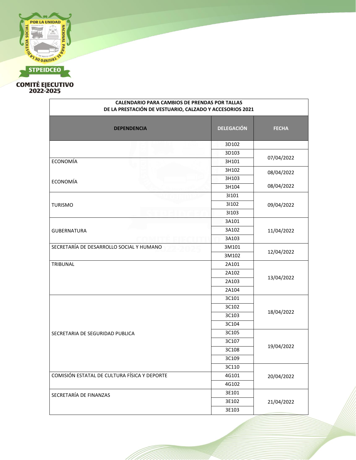

 $\Gamma$ 

| <b>CALENDARIO PARA CAMBIOS DE PRENDAS POR TALLAS</b><br>DE LA PRESTACIÓN DE VESTUARIO, CALZADO Y ACCESORIOS 2021 |                   |              |
|------------------------------------------------------------------------------------------------------------------|-------------------|--------------|
| <b>DEPENDENCIA</b>                                                                                               | <b>DELEGACIÓN</b> | <b>FECHA</b> |
|                                                                                                                  | 3D102             |              |
|                                                                                                                  | 3D103             |              |
| ECONOMÍA                                                                                                         | 3H101             | 07/04/2022   |
|                                                                                                                  | 3H102             | 08/04/2022   |
| <b>ECONOMÍA</b>                                                                                                  | 3H103             |              |
|                                                                                                                  | 3H104             | 08/04/2022   |
|                                                                                                                  | 31101             |              |
| <b>TURISMO</b>                                                                                                   | 31102             | 09/04/2022   |
|                                                                                                                  | 31103             |              |
|                                                                                                                  | 3A101             |              |
| <b>GUBERNATURA</b>                                                                                               | 3A102             | 11/04/2022   |
|                                                                                                                  | 3A103             |              |
| SECRETARÍA DE DESARROLLO SOCIAL Y HUMANO                                                                         | 3M101             | 12/04/2022   |
|                                                                                                                  | 3M102             |              |
| TRIBUNAL                                                                                                         | 2A101             |              |
|                                                                                                                  | 2A102             |              |
|                                                                                                                  | 2A103             | 13/04/2022   |
|                                                                                                                  | 2A104             |              |
|                                                                                                                  | 3C101             |              |
|                                                                                                                  | 3C102             | 18/04/2022   |
|                                                                                                                  | 3C103             |              |
| SECRETARIA DE SEGURIDAD PUBLICA                                                                                  | 3C104             |              |
|                                                                                                                  | 3C105             |              |
|                                                                                                                  | 3C107             | 19/04/2022   |
|                                                                                                                  | 3C108             |              |
|                                                                                                                  | 3C109             |              |
|                                                                                                                  | 3C110             |              |
| COMISIÓN ESTATAL DE CULTURA FÍSICA Y DEPORTE                                                                     | 4G101             | 20/04/2022   |
|                                                                                                                  | 4G102             |              |
| SECRETARÍA DE FINANZAS                                                                                           | 3E101             |              |
|                                                                                                                  | 3E102             | 21/04/2022   |
|                                                                                                                  | 3E103             |              |

٦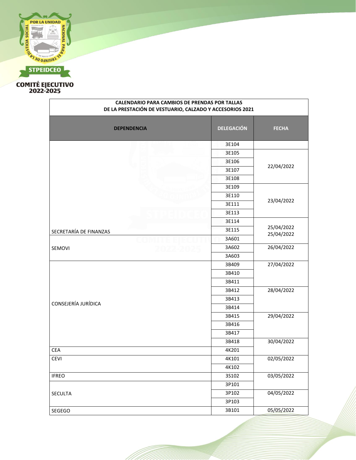

| <b>CALENDARIO PARA CAMBIOS DE PRENDAS POR TALLAS</b><br>DE LA PRESTACIÓN DE VESTUARIO, CALZADO Y ACCESORIOS 2021 |                   |              |
|------------------------------------------------------------------------------------------------------------------|-------------------|--------------|
| <b>DEPENDENCIA</b>                                                                                               | <b>DELEGACIÓN</b> | <b>FECHA</b> |
|                                                                                                                  | 3E104             |              |
|                                                                                                                  | 3E105             |              |
|                                                                                                                  | 3E106             |              |
|                                                                                                                  | 3E107             | 22/04/2022   |
|                                                                                                                  | 3E108             |              |
|                                                                                                                  | 3E109             |              |
|                                                                                                                  | 3E110             |              |
|                                                                                                                  | 3E111             | 23/04/2022   |
|                                                                                                                  | 3E113             |              |
|                                                                                                                  | 3E114             |              |
| SECRETARÍA DE FINANZAS                                                                                           | 3E115             | 25/04/2022   |
|                                                                                                                  | 3A601             | 25/04/2022   |
| SEMOVI                                                                                                           | 3A602             | 26/04/2022   |
|                                                                                                                  | 3A603             |              |
|                                                                                                                  | 3B409             | 27/04/2022   |
|                                                                                                                  | 3B410             |              |
|                                                                                                                  | 3B411             |              |
|                                                                                                                  | 3B412             | 28/04/2022   |
|                                                                                                                  | 3B413             |              |
| CONSEJERÍA JURÍDICA                                                                                              | 3B414             |              |
|                                                                                                                  | 3B415             | 29/04/2022   |
|                                                                                                                  | 3B416             |              |
|                                                                                                                  | 3B417             |              |
|                                                                                                                  | 3B418             | 30/04/2022   |
| CEA                                                                                                              | 4K201             |              |
| CEVI                                                                                                             | 4K101             | 02/05/2022   |
|                                                                                                                  | 4K102             |              |
| <b>IFREO</b>                                                                                                     | 3S102             | 03/05/2022   |
|                                                                                                                  | 3P101             |              |
| SECULTA                                                                                                          | 3P102             | 04/05/2022   |
|                                                                                                                  | 3P103             |              |
| SEGEGO                                                                                                           | 3B101             | 05/05/2022   |